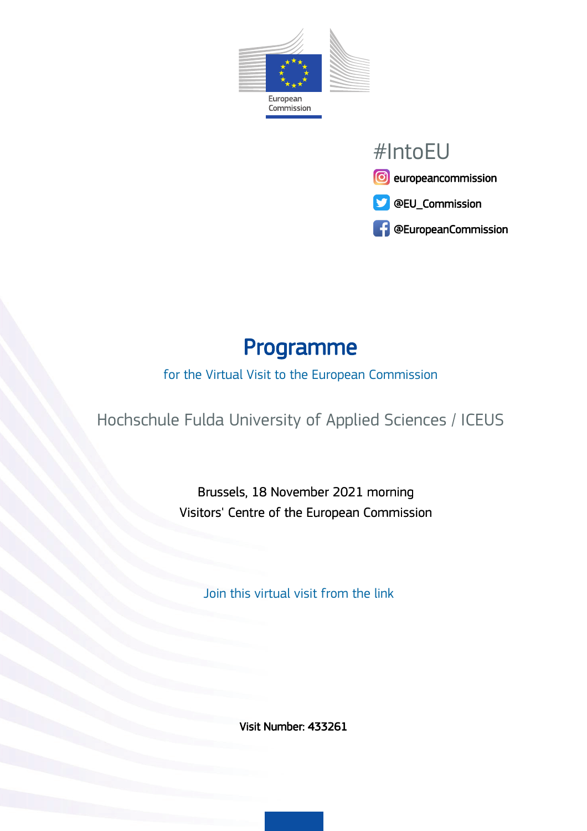



# Programme

#### for the Virtual Visit to the European Commission

Hochschule Fulda University of Applied Sciences / ICEUS

Brussels, 18 November 2021 morning Visitors' Centre of the European Commission

Join this virtual visit from the link

Visit Number: 433261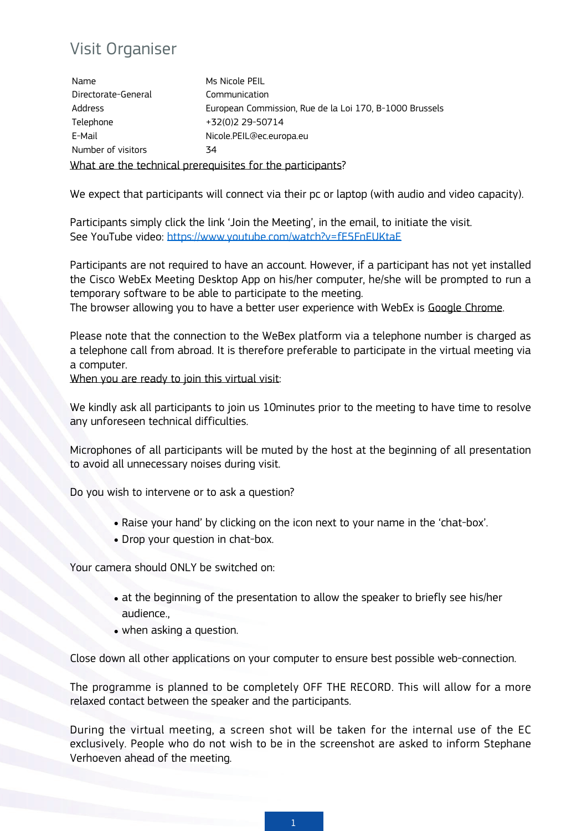#### Visit Organiser

What are the technical prerequisites for the participants? Name Ms Nicole PEIL Directorate-General Communication Address **European Commission, Rue de la Loi 170, B-1000 Brussels** Telephone +32(0)2 29-50714 E-Mail Nicole.PEIL@ec.europa.eu Number of visitors 34

We expect that participants will connect via their pc or laptop (with audio and video capacity).

Participants simply click the link 'Join the Meeting', in the email, to initiate the visit. See YouTube video: <https://www.youtube.com/watch?v=fE5FnEUKtaE>

Participants are not required to have an account. However, if a participant has not yet installed the Cisco WebEx Meeting Desktop App on his/her computer, he/she will be prompted to run a temporary software to be able to participate to the meeting.

The browser allowing you to have a better user experience with WebEx is Google Chrome.

Please note that the connection to the WeBex platform via a telephone number is charged as a telephone call from abroad. It is therefore preferable to participate in the virtual meeting via a computer.

When you are ready to join this virtual visit:

We kindly ask all participants to join us 10minutes prior to the meeting to have time to resolve any unforeseen technical difficulties.

Microphones of all participants will be muted by the host at the beginning of all presentation to avoid all unnecessary noises during visit.

Do you wish to intervene or to ask a question?

- Raise your hand' by clicking on the icon next to your name in the 'chat-box'.
- Drop your question in chat-box.

Your camera should ONLY be switched on:

- $\bullet$  at the beginning of the presentation to allow the speaker to briefly see his/her audience.,
- when asking a question.

Close down all other applications on your computer to ensure best possible web-connection.

The programme is planned to be completely OFF THE RECORD. This will allow for a more relaxed contact between the speaker and the participants.

During the virtual meeting, a screen shot will be taken for the internal use of the EC exclusively. People who do not wish to be in the screenshot are asked to inform Stephane Verhoeven ahead of the meeting.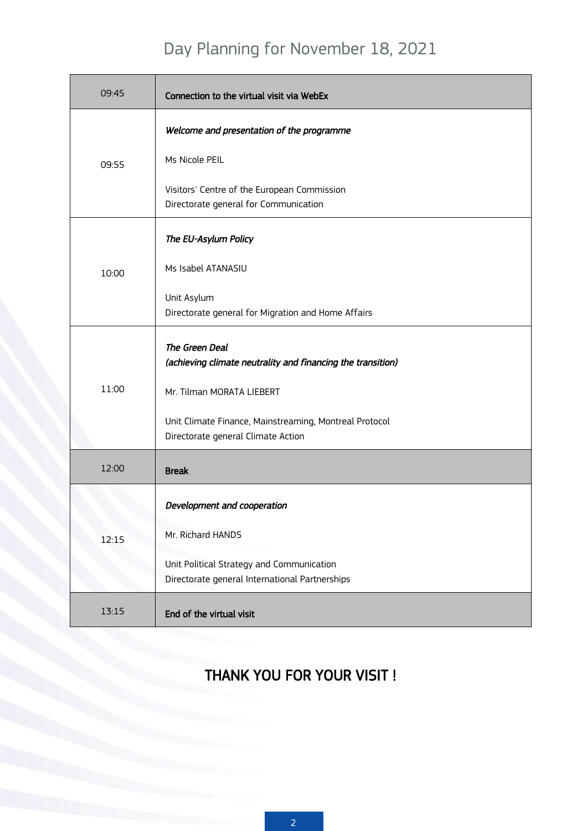## Day Planning for November 18, 2021

| 09:45 | Connection to the virtual visit via WebEx                                                    |
|-------|----------------------------------------------------------------------------------------------|
|       | Welcome and presentation of the programme                                                    |
| 09:55 | Ms Nicole PEIL                                                                               |
|       | Visitors' Centre of the European Commission<br>Directorate general for Communication         |
|       | The EU-Asylum Policy                                                                         |
| 10:00 | Ms Isabel ATANASIU                                                                           |
|       | Unit Asylum<br>Directorate general for Migration and Home Affairs                            |
|       | The Green Deal<br>(achieving climate neutrality and financing the transition)                |
| 11:00 | Mr. Tilman MORATA LIEBERT                                                                    |
|       | Unit Climate Finance, Mainstreaming, Montreal Protocol<br>Directorate general Climate Action |
| 12:00 | <b>Break</b>                                                                                 |
|       | Development and cooperation                                                                  |
| 12:15 | Mr. Richard HANDS                                                                            |
|       | Unit Political Strategy and Communication<br>Directorate general International Partnerships  |
| 13:15 | End of the virtual visit                                                                     |

### THANK YOU FOR YOUR VISIT !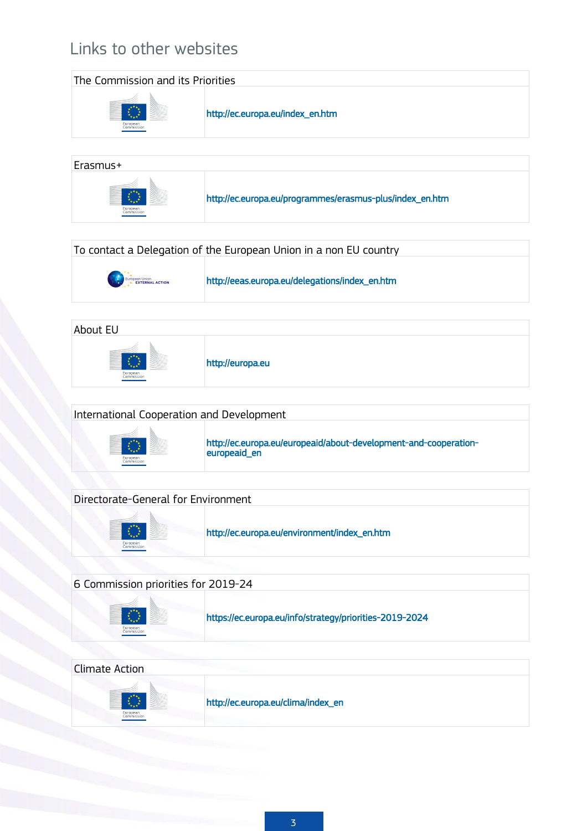## Links to other websites

| The Commission and its Priorities |                                                          |
|-----------------------------------|----------------------------------------------------------|
| European<br>Commission            | http://ec.europa.eu/index_en.htm                         |
| Erasmus+                          |                                                          |
| European<br>Commission            | http://ec.europa.eu/programmes/erasmus-plus/index_en.htm |

| To contact a Delegation of the European Union in a non EU country                                                                                            |                                                |  |
|--------------------------------------------------------------------------------------------------------------------------------------------------------------|------------------------------------------------|--|
| $\begin{array}{cc} \mathbb{P}_{\mathbf{X}}^* & \star \\ \hline \updownarrow & \downarrow \\ \star & \mathsf{EXT}\mathsf{ERMAL}\ \mathsf{ACTION} \end{array}$ | http://eeas.europa.eu/delegations/index_en.htm |  |

| About EU               |                  |  |
|------------------------|------------------|--|
| European<br>Commission | http://europa.eu |  |

| International Cooperation and Development |                                                                  |  |
|-------------------------------------------|------------------------------------------------------------------|--|
| European                                  | http://ec.europa.eu/europeaid/about-development-and-cooperation- |  |
| commission                                | europeaid en                                                     |  |

| Directorate-General for Environment |                                              |
|-------------------------------------|----------------------------------------------|
| European<br>Commission              | http://ec.europa.eu/environment/index_en.htm |

| 6 Commission priorities for 2019-24 |                                                         |  |
|-------------------------------------|---------------------------------------------------------|--|
| European<br>Commission              | https://ec.europa.eu/info/strategy/priorities-2019-2024 |  |

| Climate Action         |                                    |
|------------------------|------------------------------------|
| European<br>Commission | http://ec.europa.eu/clima/index_en |